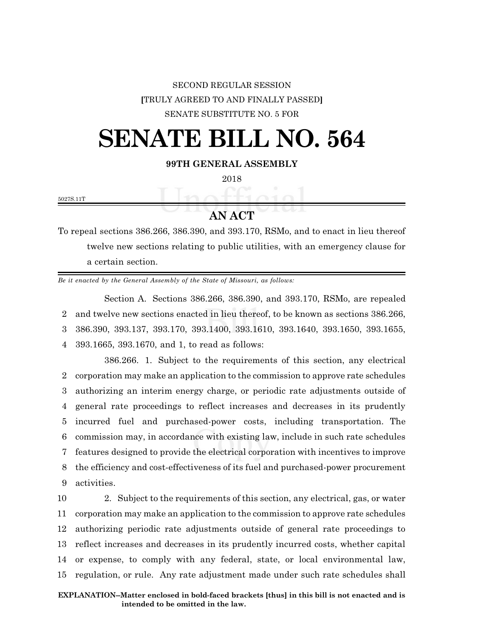## SECOND REGULAR SESSION **[**TRULY AGREED TO AND FINALLY PASSED**]** SENATE SUBSTITUTE NO. 5 FOR

## **SENATE BILL NO. 564**

**99TH GENERAL ASSEMBLY**

2018

5027S.11T

**AN ACT**

To repeal sections 386.266, 386.390, and 393.170, RSMo, and to enact in lieu thereof twelve new sections relating to public utilities, with an emergency clause for a certain section.

*Be it enacted by the General Assembly of the State of Missouri, as follows:*

Section A. Sections 386.266, 386.390, and 393.170, RSMo, are repealed and twelve new sections enacted in lieu thereof, to be known as sections 386.266, 386.390, 393.137, 393.170, 393.1400, 393.1610, 393.1640, 393.1650, 393.1655, 393.1665, 393.1670, and 1, to read as follows:

386.266. 1. Subject to the requirements of this section, any electrical corporation may make an application to the commission to approve rate schedules authorizing an interim energy charge, or periodic rate adjustments outside of general rate proceedings to reflect increases and decreases in its prudently incurred fuel and purchased-power costs, including transportation. The commission may, in accordance with existing law, include in such rate schedules features designed to provide the electrical corporation with incentives to improve the efficiency and cost-effectiveness of its fuel and purchased-power procurement activities.

 2. Subject to the requirements of this section, any electrical, gas, or water corporation may make an application to the commission to approve rate schedules authorizing periodic rate adjustments outside of general rate proceedings to reflect increases and decreases in its prudently incurred costs, whether capital or expense, to comply with any federal, state, or local environmental law, regulation, or rule. Any rate adjustment made under such rate schedules shall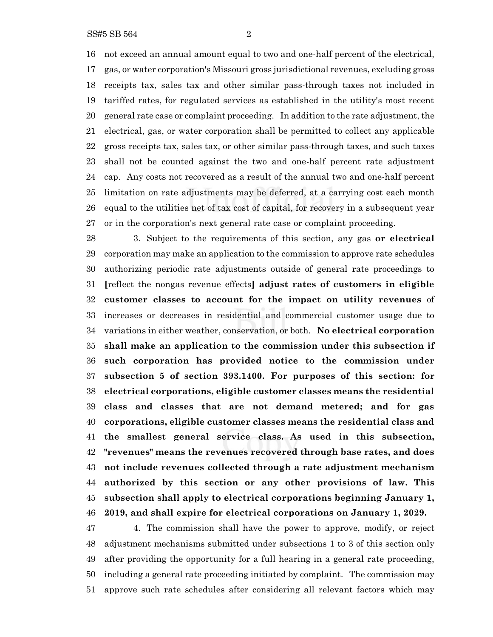not exceed an annual amount equal to two and one-half percent of the electrical, gas, or water corporation's Missouri gross jurisdictional revenues, excluding gross receipts tax, sales tax and other similar pass-through taxes not included in tariffed rates, for regulated services as established in the utility's most recent general rate case or complaint proceeding. In addition to the rate adjustment, the electrical, gas, or water corporation shall be permitted to collect any applicable gross receipts tax, sales tax, or other similar pass-through taxes, and such taxes shall not be counted against the two and one-half percent rate adjustment cap. Any costs not recovered as a result of the annual two and one-half percent limitation on rate adjustments may be deferred, at a carrying cost each month equal to the utilities net of tax cost of capital, for recovery in a subsequent year or in the corporation's next general rate case or complaint proceeding.

 3. Subject to the requirements of this section, any gas **or electrical** corporation may make an application to the commission to approve rate schedules authorizing periodic rate adjustments outside of general rate proceedings to **[**reflect the nongas revenue effects**] adjust rates of customers in eligible customer classes to account for the impact on utility revenues** of increases or decreases in residential and commercial customer usage due to variations in either weather, conservation, or both. **No electrical corporation shall make an application to the commission under this subsection if such corporation has provided notice to the commission under subsection 5 of section 393.1400. For purposes of this section: for electrical corporations, eligible customer classes means the residential class and classes that are not demand metered; and for gas corporations, eligible customer classes means the residential class and the smallest general service class. As used in this subsection, "revenues" means the revenues recovered through base rates, and does not include revenues collected through a rate adjustment mechanism authorized by this section or any other provisions of law. This subsection shall apply to electrical corporations beginning January 1, 2019, and shall expire for electrical corporations on January 1, 2029.**

 4. The commission shall have the power to approve, modify, or reject adjustment mechanisms submitted under subsections 1 to 3 of this section only after providing the opportunity for a full hearing in a general rate proceeding, including a general rate proceeding initiated by complaint. The commission may approve such rate schedules after considering all relevant factors which may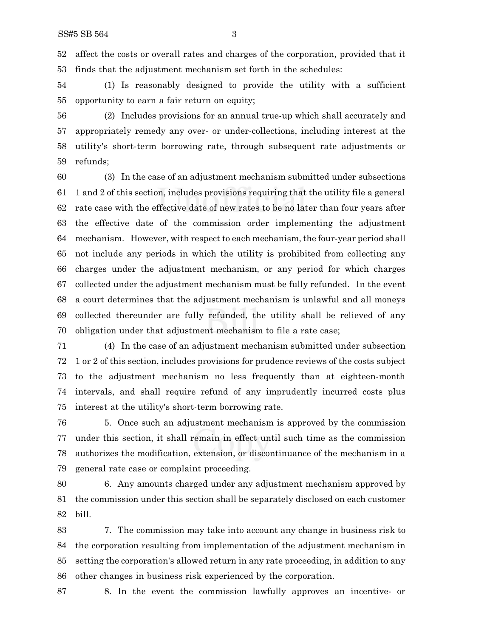affect the costs or overall rates and charges of the corporation, provided that it finds that the adjustment mechanism set forth in the schedules:

 (1) Is reasonably designed to provide the utility with a sufficient opportunity to earn a fair return on equity;

 (2) Includes provisions for an annual true-up which shall accurately and appropriately remedy any over- or under-collections, including interest at the utility's short-term borrowing rate, through subsequent rate adjustments or refunds;

 (3) In the case of an adjustment mechanism submitted under subsections 1 and 2 of this section, includes provisions requiring that the utility file a general rate case with the effective date of new rates to be no later than four years after the effective date of the commission order implementing the adjustment mechanism. However, with respect to each mechanism,the four-year period shall not include any periods in which the utility is prohibited from collecting any charges under the adjustment mechanism, or any period for which charges collected under the adjustment mechanism must be fully refunded. In the event a court determines that the adjustment mechanism is unlawful and all moneys collected thereunder are fully refunded, the utility shall be relieved of any obligation under that adjustment mechanism to file a rate case;

 (4) In the case of an adjustment mechanism submitted under subsection 1 or 2 of this section, includes provisions for prudence reviews of the costs subject to the adjustment mechanism no less frequently than at eighteen-month intervals, and shall require refund of any imprudently incurred costs plus interest at the utility's short-term borrowing rate.

 5. Once such an adjustment mechanism is approved by the commission under this section, it shall remain in effect until such time as the commission authorizes the modification, extension, or discontinuance of the mechanism in a general rate case or complaint proceeding.

 6. Any amounts charged under any adjustment mechanism approved by the commission under this section shall be separately disclosed on each customer bill.

 7. The commission may take into account any change in business risk to the corporation resulting from implementation of the adjustment mechanism in setting the corporation's allowed return in any rate proceeding, in addition to any other changes in business risk experienced by the corporation.

8. In the event the commission lawfully approves an incentive- or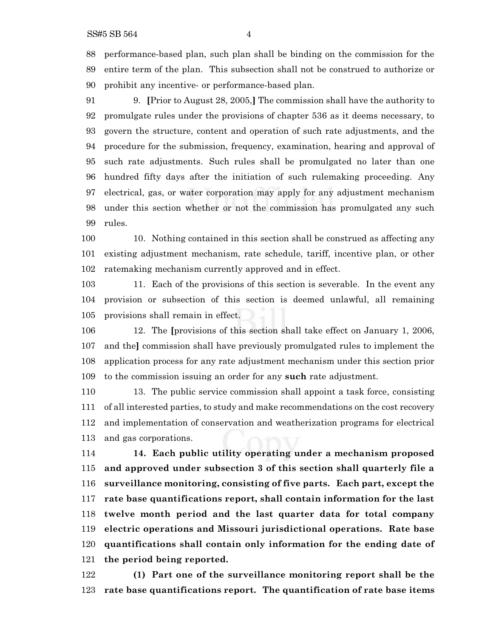performance-based plan, such plan shall be binding on the commission for the entire term of the plan. This subsection shall not be construed to authorize or prohibit any incentive- or performance-based plan.

 9. **[**Prior to August 28, 2005,**]** The commission shall have the authority to promulgate rules under the provisions of chapter 536 as it deems necessary, to govern the structure, content and operation of such rate adjustments, and the procedure for the submission, frequency, examination, hearing and approval of such rate adjustments. Such rules shall be promulgated no later than one hundred fifty days after the initiation of such rulemaking proceeding. Any electrical, gas, or water corporation may apply for any adjustment mechanism under this section whether or not the commission has promulgated any such rules.

 10. Nothing contained in this section shall be construed as affecting any existing adjustment mechanism, rate schedule, tariff, incentive plan, or other ratemaking mechanism currently approved and in effect.

 11. Each of the provisions of this section is severable. In the event any provision or subsection of this section is deemed unlawful, all remaining provisions shall remain in effect.

 12. The **[**provisions of this section shall take effect on January 1, 2006, and the**]** commission shall have previously promulgated rules to implement the application process for any rate adjustment mechanism under this section prior to the commission issuing an order for any **such** rate adjustment.

 13. The public service commission shall appoint a task force, consisting of all interested parties, to study and make recommendations on the cost recovery and implementation of conservation and weatherization programs for electrical and gas corporations.

 **14. Each public utility operating under a mechanism proposed and approved under subsection 3 of this section shall quarterly file a surveillance monitoring, consisting of five parts. Each part, except the rate base quantifications report, shall contain information for the last twelve month period and the last quarter data for total company electric operations and Missouri jurisdictional operations. Rate base quantifications shall contain only information for the ending date of the period being reported.**

 **(1) Part one of the surveillance monitoring report shall be the rate base quantifications report. The quantification of rate base items**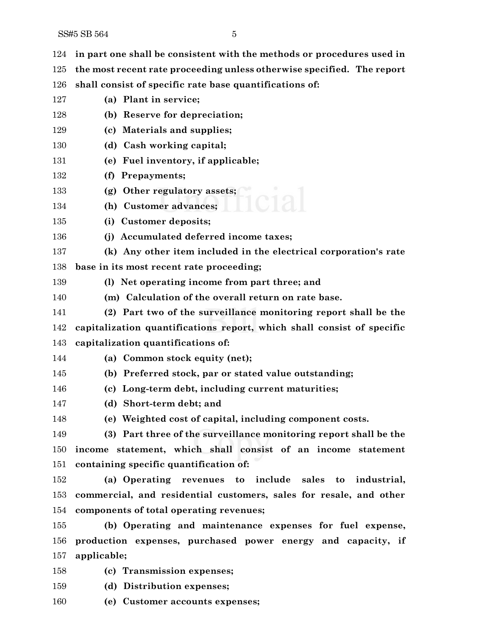| 124 | in part one shall be consistent with the methods or procedures used in |
|-----|------------------------------------------------------------------------|
| 125 | the most recent rate proceeding unless otherwise specified. The report |
| 126 | shall consist of specific rate base quantifications of:                |
| 127 | (a) Plant in service;                                                  |
| 128 | (b) Reserve for depreciation;                                          |
| 129 | (c) Materials and supplies;                                            |
| 130 | (d) Cash working capital;                                              |
| 131 | (e) Fuel inventory, if applicable;                                     |
| 132 | (f) Prepayments;                                                       |
| 133 | (g) Other regulatory assets;                                           |
| 134 | (h) Customer advances;                                                 |
| 135 | (i) Customer deposits;                                                 |
| 136 | (j) Accumulated deferred income taxes;                                 |
| 137 | (k) Any other item included in the electrical corporation's rate       |
| 138 | base in its most recent rate proceeding;                               |
| 139 | (1) Net operating income from part three; and                          |
| 140 | (m) Calculation of the overall return on rate base.                    |
| 141 | (2) Part two of the surveillance monitoring report shall be the        |
| 142 | capitalization quantifications report, which shall consist of specific |
| 143 | capitalization quantifications of:                                     |
| 144 | (a) Common stock equity (net);                                         |
| 145 | (b) Preferred stock, par or stated value outstanding;                  |
| 146 | (c) Long-term debt, including current maturities;                      |
| 147 | (d) Short-term debt; and                                               |
| 148 | (e) Weighted cost of capital, including component costs.               |
| 149 | (3) Part three of the surveillance monitoring report shall be the      |
| 150 | income statement, which shall consist of an income statement           |
| 151 | containing specific quantification of:                                 |
| 152 | (a) Operating revenues to include sales to industrial,                 |
| 153 | commercial, and residential customers, sales for resale, and other     |
| 154 | components of total operating revenues;                                |
| 155 | (b) Operating and maintenance expenses for fuel expense,               |
| 156 | production expenses, purchased power energy and capacity, if           |
| 157 | applicable;                                                            |
| 158 | (c) Transmission expenses;                                             |
| 159 | (d) Distribution expenses;                                             |

**(e) Customer accounts expenses;**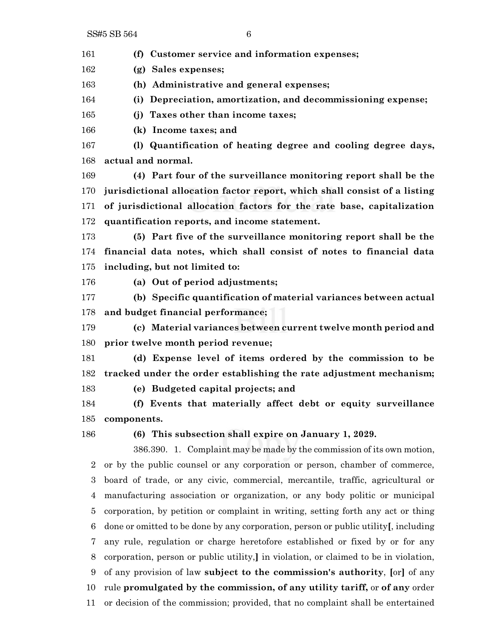**(f) Customer service and information expenses;**

**(g) Sales expenses;**

**(h) Administrative and general expenses;**

**(i) Depreciation, amortization, and decommissioning expense;**

**(j) Taxes other than income taxes;**

**(k) Income taxes; and**

 **(l) Quantification of heating degree and cooling degree days, actual and normal.**

 **(4) Part four of the surveillance monitoring report shall be the jurisdictional allocation factor report, which shall consist of a listing of jurisdictional allocation factors for the rate base, capitalization quantification reports, and income statement.**

 **(5) Part five of the surveillance monitoring report shall be the financial data notes, which shall consist of notes to financial data including, but not limited to:**

**(a) Out of period adjustments;**

 **(b) Specific quantification of material variances between actual and budget financial performance;**

 **(c) Material variances between current twelve month period and prior twelve month period revenue;**

 **(d) Expense level of items ordered by the commission to be tracked under the order establishing the rate adjustment mechanism;**

**(e) Budgeted capital projects; and**

 **(f) Events that materially affect debt or equity surveillance components.**

**(6) This subsection shall expire on January 1, 2029.**

386.390. 1. Complaint may be made by the commission of its own motion, or by the public counsel or any corporation or person, chamber of commerce, board of trade, or any civic, commercial, mercantile, traffic, agricultural or manufacturing association or organization, or any body politic or municipal corporation, by petition or complaint in writing, setting forth any act or thing done or omitted to be done by any corporation, person or public utility**[**, including any rule, regulation or charge heretofore established or fixed by or for any corporation, person or public utility,**]** in violation, or claimed to be in violation, of any provision of law **subject to the commission's authority**, **[**or**]** of any rule **promulgated by the commission, of any utility tariff,** or **of any** order or decision of the commission; provided, that no complaint shall be entertained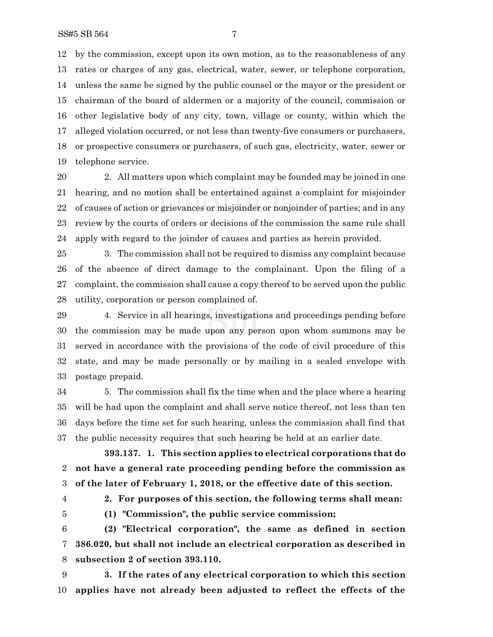by the commission, except upon its own motion, as to the reasonableness of any rates or charges of any gas, electrical, water, sewer, or telephone corporation, unless the same be signed by the public counsel or the mayor or the president or chairman of the board of aldermen or a majority of the council, commission or other legislative body of any city, town, village or county, within which the alleged violation occurred, or not less than twenty-five consumers or purchasers, or prospective consumers or purchasers, of such gas, electricity, water, sewer or telephone service.

 2. All matters upon which complaint may be founded may be joined in one hearing, and no motion shall be entertained against a complaint for misjoinder of causes of action or grievances or misjoinder or nonjoinder of parties; and in any review by the courts of orders or decisions of the commission the same rule shall apply with regard to the joinder of causes and parties as herein provided.

 3. The commission shall not be required to dismiss any complaint because of the absence of direct damage to the complainant. Upon the filing of a complaint, the commission shall cause a copy thereof to be served upon the public utility, corporation or person complained of.

 4. Service in all hearings, investigations and proceedings pending before the commission may be made upon any person upon whom summons may be served in accordance with the provisions of the code of civil procedure of this state, and may be made personally or by mailing in a sealed envelope with postage prepaid.

 5. The commission shall fix the time when and the place where a hearing will be had upon the complaint and shall serve notice thereof, not less than ten days before the time set for such hearing, unless the commission shall find that the public necessity requires that such hearing be held at an earlier date.

**393.137. 1. This section applies to electrical corporations that do not have a general rate proceeding pending before the commission as of the later of February 1, 2018, or the effective date of this section.**

**2. For purposes of this section, the following terms shall mean:**

**(1) "Commission", the public service commission;**

 **(2) "Electrical corporation", the same as defined in section 386.020, but shall not include an electrical corporation as described in subsection 2 of section 393.110.**

 **3. If the rates of any electrical corporation to which this section applies have not already been adjusted to reflect the effects of the**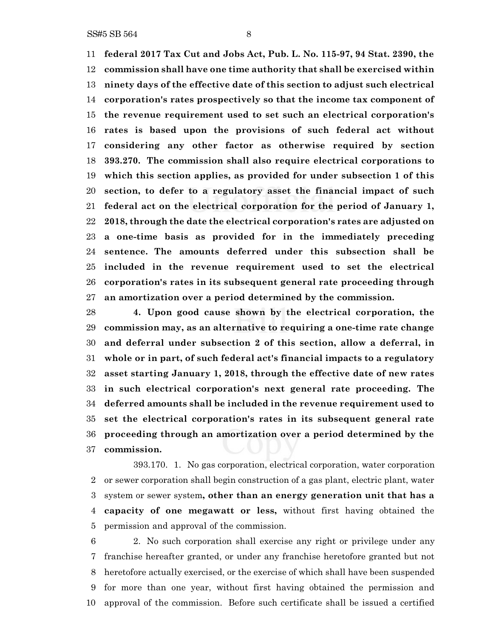**federal 2017 Tax Cut and Jobs Act, Pub. L. No. 115-97, 94 Stat. 2390, the commission shall have one time authority that shall be exercised within ninety days of the effective date of this section to adjust such electrical corporation's rates prospectively so that the income tax component of the revenue requirement used to set such an electrical corporation's rates is based upon the provisions of such federal act without considering any other factor as otherwise required by section 393.270. The commission shall also require electrical corporations to which this section applies, as provided for under subsection 1 of this section, to defer to a regulatory asset the financial impact of such federal act on the electrical corporation for the period of January 1, 2018, through the date the electrical corporation's rates are adjusted on a one-time basis as provided for in the immediately preceding sentence. The amounts deferred under this subsection shall be included in the revenue requirement used to set the electrical corporation's rates in its subsequent general rate proceeding through an amortization over a period determined by the commission.**

 **4. Upon good cause shown by the electrical corporation, the commission may, as an alternative to requiring a one-time rate change and deferral under subsection 2 of this section, allow a deferral, in whole or in part, of such federal act's financial impacts to a regulatory asset starting January 1, 2018, through the effective date of new rates in such electrical corporation's next general rate proceeding. The deferred amounts shall be included in the revenue requirement used to set the electrical corporation's rates in its subsequent general rate proceeding through an amortization over a period determined by the commission.**

393.170. 1. No gas corporation, electrical corporation, water corporation or sewer corporation shall begin construction of a gas plant, electric plant, water system or sewer system**, other than an energy generation unit that has a capacity of one megawatt or less,** without first having obtained the permission and approval of the commission.

 2. No such corporation shall exercise any right or privilege under any franchise hereafter granted, or under any franchise heretofore granted but not heretofore actually exercised, or the exercise of which shall have been suspended for more than one year, without first having obtained the permission and approval of the commission. Before such certificate shall be issued a certified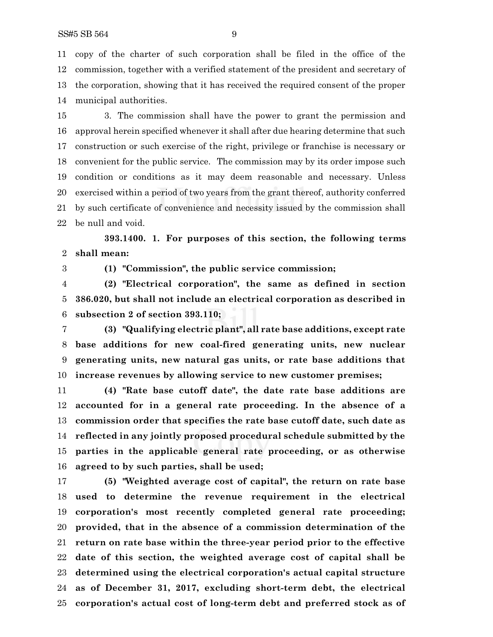copy of the charter of such corporation shall be filed in the office of the commission, together with a verified statement of the president and secretary of the corporation, showing that it has received the required consent of the proper municipal authorities.

 3. The commission shall have the power to grant the permission and approval herein specified whenever it shall after due hearing determine that such construction or such exercise of the right, privilege or franchise is necessary or convenient for the public service. The commission may by its order impose such condition or conditions as it may deem reasonable and necessary. Unless exercised within a period of two years from the grant thereof, authority conferred by such certificate of convenience and necessity issued by the commission shall be null and void.

**393.1400. 1. For purposes of this section, the following terms shall mean:**

**(1) "Commission", the public service commission;**

 **(2) "Electrical corporation", the same as defined in section 386.020, but shall not include an electrical corporation as described in subsection 2 of section 393.110;**

 **(3) "Qualifying electric plant", all rate base additions, except rate base additions for new coal-fired generating units, new nuclear generating units, new natural gas units, or rate base additions that increase revenues by allowing service to new customer premises;**

 **(4) "Rate base cutoff date", the date rate base additions are accounted for in a general rate proceeding. In the absence of a commission order that specifies the rate base cutoff date, such date as reflected in any jointly proposed procedural schedule submitted by the parties in the applicable general rate proceeding, or as otherwise agreed to by such parties, shall be used;**

 **(5) "Weighted average cost of capital", the return on rate base used to determine the revenue requirement in the electrical corporation's most recently completed general rate proceeding; provided, that in the absence of a commission determination of the return on rate base within the three-year period prior to the effective date of this section, the weighted average cost of capital shall be determined using the electrical corporation's actual capital structure as of December 31, 2017, excluding short-term debt, the electrical corporation's actual cost of long-term debt and preferred stock as of**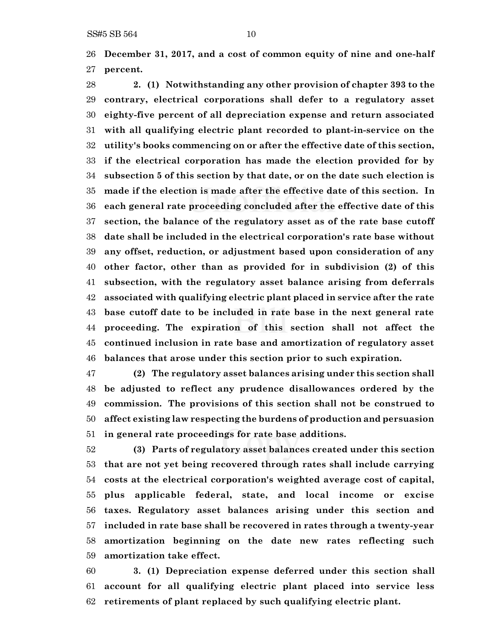**December 31, 2017, and a cost of common equity of nine and one-half percent.**

 **2. (1) Notwithstanding any other provision of chapter 393 to the contrary, electrical corporations shall defer to a regulatory asset eighty-five percent of all depreciation expense and return associated with all qualifying electric plant recorded to plant-in-service on the utility's books commencing on or after the effective date of this section, if the electrical corporation has made the election provided for by subsection 5 of this section by that date, or on the date such election is made if the election is made after the effective date of this section. In each general rate proceeding concluded after the effective date of this section, the balance of the regulatory asset as of the rate base cutoff date shall be included in the electrical corporation's rate base without any offset, reduction, or adjustment based upon consideration of any other factor, other than as provided for in subdivision (2) of this subsection, with the regulatory asset balance arising from deferrals associated with qualifying electric plant placed in service after the rate base cutoff date to be included in rate base in the next general rate proceeding. The expiration of this section shall not affect the continued inclusion in rate base and amortization of regulatory asset balances that arose under this section prior to such expiration.**

 **(2) The regulatory asset balances arising under this section shall be adjusted to reflect any prudence disallowances ordered by the commission. The provisions of this section shall not be construed to affect existing law respecting the burdens of production and persuasion in general rate proceedings for rate base additions.**

 **(3) Parts of regulatory asset balances created under this section that are not yet being recovered through rates shall include carrying costs at the electrical corporation's weighted average cost of capital, plus applicable federal, state, and local income or excise taxes. Regulatory asset balances arising under this section and included in rate base shall be recovered in rates through a twenty-year amortization beginning on the date new rates reflecting such amortization take effect.**

 **3. (1) Depreciation expense deferred under this section shall account for all qualifying electric plant placed into service less retirements of plant replaced by such qualifying electric plant.**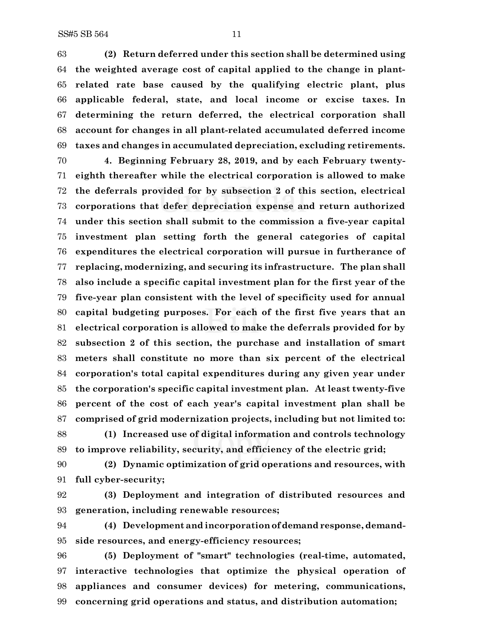**(2) Return deferred under this section shall be determined using the weighted average cost of capital applied to the change in plant- related rate base caused by the qualifying electric plant, plus applicable federal, state, and local income or excise taxes. In determining the return deferred, the electrical corporation shall account for changes in all plant-related accumulated deferred income taxes and changes in accumulated depreciation, excluding retirements.**

 **4. Beginning February 28, 2019, and by each February twenty- eighth thereafter while the electrical corporation is allowed to make the deferrals provided for by subsection 2 of this section, electrical corporations that defer depreciation expense and return authorized under this section shall submit to the commission a five-year capital investment plan setting forth the general categories of capital expenditures the electrical corporation will pursue in furtherance of replacing, modernizing, and securing its infrastructure. The plan shall also include a specific capital investment plan for the first year of the five-year plan consistent with the level of specificity used for annual capital budgeting purposes. For each of the first five years that an electrical corporation is allowed to make the deferrals provided for by subsection 2 of this section, the purchase and installation of smart meters shall constitute no more than six percent of the electrical corporation's total capital expenditures during any given year under the corporation's specific capital investment plan. At least twenty-five percent of the cost of each year's capital investment plan shall be comprised of grid modernization projects, including but not limited to:**

 **(1) Increased use of digital information and controls technology to improve reliability, security, and efficiency of the electric grid;**

 **(2) Dynamic optimization of grid operations and resources, with full cyber-security;**

 **(3) Deployment and integration of distributed resources and generation, including renewable resources;**

 **(4) Development and incorporationof demand response, demand-side resources, and energy-efficiency resources;**

 **(5) Deployment of "smart" technologies (real-time, automated, interactive technologies that optimize the physical operation of appliances and consumer devices) for metering, communications, concerning grid operations and status, and distribution automation;**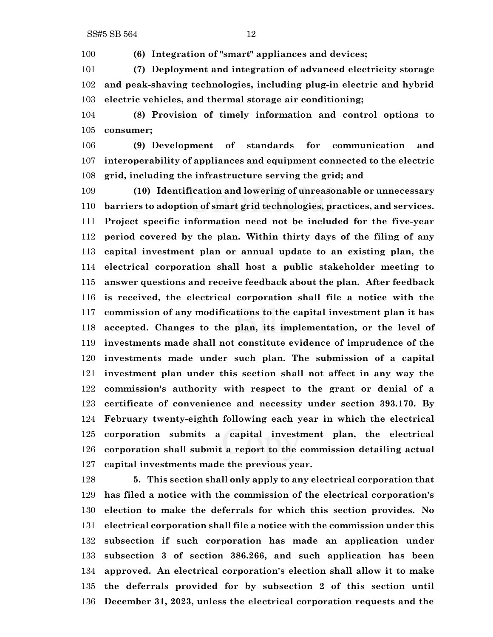**(6) Integration of "smart" appliances and devices;**

 **(7) Deployment and integration of advanced electricity storage and peak-shaving technologies, including plug-in electric and hybrid electric vehicles, and thermal storage air conditioning;**

 **(8) Provision of timely information and control options to consumer;**

 **(9) Development of standards for communication and interoperability of appliances and equipment connected to the electric grid, including the infrastructure serving the grid; and**

 **(10) Identification and lowering of unreasonable or unnecessary barriers to adoption of smart grid technologies, practices, and services. Project specific information need not be included for the five-year period covered by the plan. Within thirty days of the filing of any capital investment plan or annual update to an existing plan, the electrical corporation shall host a public stakeholder meeting to answer questions and receive feedback about the plan. After feedback is received, the electrical corporation shall file a notice with the commission of any modifications to the capital investment plan it has accepted. Changes to the plan, its implementation, or the level of investments made shall not constitute evidence of imprudence of the investments made under such plan. The submission of a capital investment plan under this section shall not affect in any way the commission's authority with respect to the grant or denial of a certificate of convenience and necessity under section 393.170. By February twenty-eighth following each year in which the electrical corporation submits a capital investment plan, the electrical corporation shall submit a report to the commission detailing actual capital investments made the previous year.**

 **5. This section shall only apply to any electrical corporation that has filed a notice with the commission of the electrical corporation's election to make the deferrals for which this section provides. No electrical corporation shall file a notice with the commission under this subsection if such corporation has made an application under subsection 3 of section 386.266, and such application has been approved. An electrical corporation's election shall allow it to make the deferrals provided for by subsection 2 of this section until December 31, 2023, unless the electrical corporation requests and the**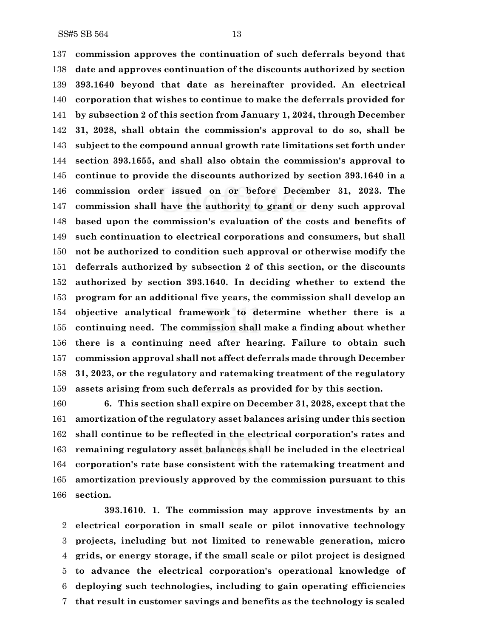**commission approves the continuation of such deferrals beyond that date and approves continuation of the discounts authorized by section 393.1640 beyond that date as hereinafter provided. An electrical corporation that wishes to continue to make the deferrals provided for by subsection 2 of this section from January 1, 2024, through December 31, 2028, shall obtain the commission's approval to do so, shall be subject to the compound annual growth rate limitations set forth under section 393.1655, and shall also obtain the commission's approval to continue to provide the discounts authorized by section 393.1640 in a commission order issued on or before December 31, 2023. The commission shall have the authority to grant or deny such approval based upon the commission's evaluation of the costs and benefits of such continuation to electrical corporations and consumers, but shall not be authorized to condition such approval or otherwise modify the deferrals authorized by subsection 2 of this section, or the discounts authorized by section 393.1640. In deciding whether to extend the program for an additional five years, the commission shall develop an objective analytical framework to determine whether there is a continuing need. The commission shall make a finding about whether there is a continuing need after hearing. Failure to obtain such commission approval shall not affect deferrals made through December 31, 2023, or the regulatory and ratemaking treatment of the regulatory assets arising from such deferrals as provided for by this section.**

 **6. This section shall expire on December 31, 2028, except that the amortization of the regulatory asset balances arising under this section shall continue to be reflected in the electrical corporation's rates and remaining regulatory asset balances shall be included in the electrical corporation's rate base consistent with the ratemaking treatment and amortization previously approved by the commission pursuant to this section.**

**393.1610. 1. The commission may approve investments by an electrical corporation in small scale or pilot innovative technology projects, including but not limited to renewable generation, micro grids, or energy storage, if the small scale or pilot project is designed to advance the electrical corporation's operational knowledge of deploying such technologies, including to gain operating efficiencies that result in customer savings and benefits as the technology is scaled**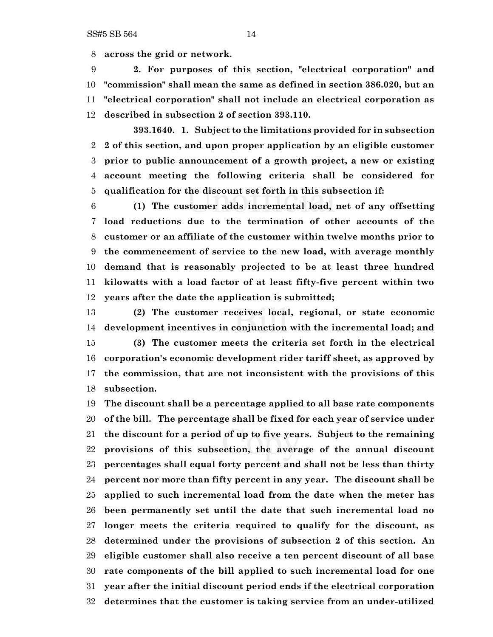**across the grid or network.**

 **2. For purposes of this section, "electrical corporation" and "commission" shall mean the same as defined in section 386.020, but an "electrical corporation" shall not include an electrical corporation as described in subsection 2 of section 393.110.**

**393.1640. 1. Subject to the limitations provided for in subsection 2 of this section, and upon proper application by an eligible customer prior to public announcement of a growth project, a new or existing account meeting the following criteria shall be considered for qualification for the discount set forth in this subsection if:**

 **(1) The customer adds incremental load, net of any offsetting load reductions due to the termination of other accounts of the customer or an affiliate of the customer within twelve months prior to the commencement of service to the new load, with average monthly demand that is reasonably projected to be at least three hundred kilowatts with a load factor of at least fifty-five percent within two years after the date the application is submitted;**

 **(2) The customer receives local, regional, or state economic development incentives in conjunction with the incremental load; and (3) The customer meets the criteria set forth in the electrical corporation's economic development rider tariff sheet, as approved by the commission, that are not inconsistent with the provisions of this subsection.**

 **The discount shall be a percentage applied to all base rate components of the bill. The percentage shall be fixed for each year of service under the discount for a period of up to five years. Subject to the remaining provisions of this subsection, the average of the annual discount percentages shall equal forty percent and shall not be less than thirty percent nor more than fifty percent in any year. The discount shall be applied to such incremental load from the date when the meter has been permanently set until the date that such incremental load no longer meets the criteria required to qualify for the discount, as determined under the provisions of subsection 2 of this section. An eligible customer shall also receive a ten percent discount of all base rate components of the bill applied to such incremental load for one year after the initial discount period ends if the electrical corporation determines that the customer is taking service from an under-utilized**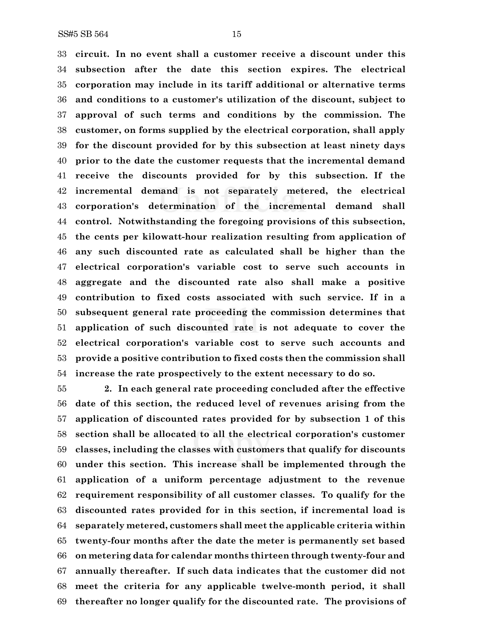**circuit. In no event shall a customer receive a discount under this subsection after the date this section expires. The electrical corporation may include in its tariff additional or alternative terms and conditions to a customer's utilization of the discount, subject to approval of such terms and conditions by the commission. The customer, on forms supplied by the electrical corporation, shall apply for the discount provided for by this subsection at least ninety days prior to the date the customer requests that the incremental demand receive the discounts provided for by this subsection. If the incremental demand is not separately metered, the electrical corporation's determination of the incremental demand shall control. Notwithstanding the foregoing provisions of this subsection, the cents per kilowatt-hour realization resulting from application of any such discounted rate as calculated shall be higher than the electrical corporation's variable cost to serve such accounts in aggregate and the discounted rate also shall make a positive contribution to fixed costs associated with such service. If in a subsequent general rate proceeding the commission determines that application of such discounted rate is not adequate to cover the electrical corporation's variable cost to serve such accounts and provide a positive contribution to fixed costs then the commission shall increase the rate prospectively to the extent necessary to do so.**

 **2. In each general rate proceeding concluded after the effective date of this section, the reduced level of revenues arising from the application of discounted rates provided for by subsection 1 of this section shall be allocated to all the electrical corporation's customer classes, including the classes with customers that qualify for discounts under this section. This increase shall be implemented through the application of a uniform percentage adjustment to the revenue requirement responsibility of all customer classes. To qualify for the discounted rates provided for in this section, if incremental load is separately metered, customers shall meet the applicable criteria within twenty-four months after the date the meter is permanently set based on metering data for calendar months thirteen through twenty-four and annually thereafter. If such data indicates that the customer did not meet the criteria for any applicable twelve-month period, it shall thereafter no longer qualify for the discounted rate. The provisions of**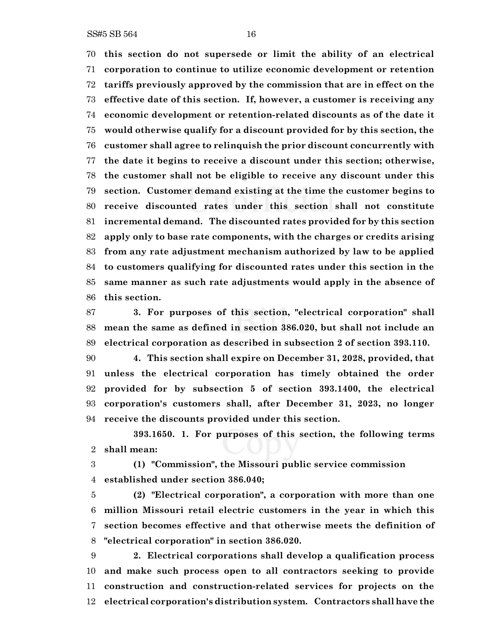**this section do not supersede or limit the ability of an electrical corporation to continue to utilize economic development or retention tariffs previously approved by the commission that are in effect on the effective date of this section. If, however, a customer is receiving any economic development or retention-related discounts as of the date it would otherwise qualify for a discount provided for by this section, the customer shall agree to relinquish the prior discount concurrently with the date it begins to receive a discount under this section; otherwise, the customer shall not be eligible to receive any discount under this section. Customer demand existing at the time the customer begins to receive discounted rates under this section shall not constitute incremental demand. The discounted rates provided for by this section apply only to base rate components, with the charges or credits arising from any rate adjustment mechanism authorized by law to be applied to customers qualifying for discounted rates under this section in the same manner as such rate adjustments would apply in the absence of this section.**

 **3. For purposes of this section, "electrical corporation" shall mean the same as defined in section 386.020, but shall not include an electrical corporation as described in subsection 2 of section 393.110.**

 **4. This section shall expire on December 31, 2028, provided, that unless the electrical corporation has timely obtained the order provided for by subsection 5 of section 393.1400, the electrical corporation's customers shall, after December 31, 2023, no longer receive the discounts provided under this section.**

**393.1650. 1. For purposes of this section, the following terms shall mean:**

 **(1) "Commission", the Missouri public service commission established under section 386.040;**

 **(2) "Electrical corporation", a corporation with more than one million Missouri retail electric customers in the year in which this section becomes effective and that otherwise meets the definition of "electrical corporation" in section 386.020.**

 **2. Electrical corporations shall develop a qualification process and make such process open to all contractors seeking to provide construction and construction-related services for projects on the electrical corporation's distribution system. Contractors shall have the**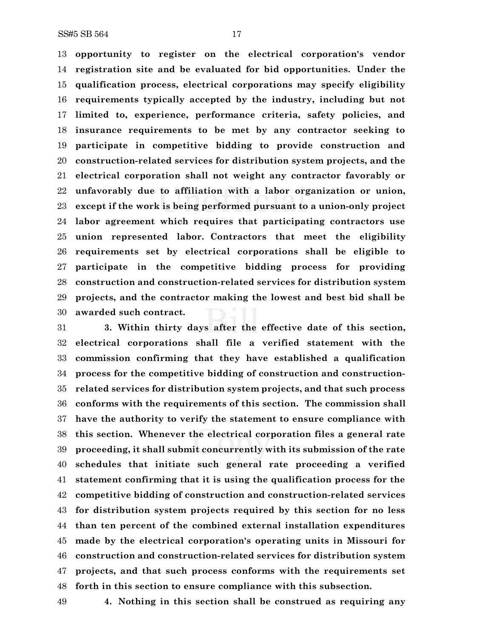**opportunity to register on the electrical corporation's vendor registration site and be evaluated for bid opportunities. Under the qualification process, electrical corporations may specify eligibility requirements typically accepted by the industry, including but not limited to, experience, performance criteria, safety policies, and insurance requirements to be met by any contractor seeking to participate in competitive bidding to provide construction and construction-related services for distribution system projects, and the electrical corporation shall not weight any contractor favorably or unfavorably due to affiliation with a labor organization or union, except if the work is being performed pursuant to a union-only project labor agreement which requires that participating contractors use union represented labor. Contractors that meet the eligibility requirements set by electrical corporations shall be eligible to participate in the competitive bidding process for providing construction and construction-related services for distribution system projects, and the contractor making the lowest and best bid shall be awarded such contract.**

 **3. Within thirty days after the effective date of this section, electrical corporations shall file a verified statement with the commission confirming that they have established a qualification process for the competitive bidding of construction and construction- related services for distribution system projects, and that such process conforms with the requirements of this section. The commission shall have the authority to verify the statement to ensure compliance with this section. Whenever the electrical corporation files a general rate proceeding, it shall submit concurrently with its submission of the rate schedules that initiate such general rate proceeding a verified statement confirming that it is using the qualification process for the competitive bidding of construction and construction-related services for distribution system projects required by this section for no less than ten percent of the combined external installation expenditures made by the electrical corporation's operating units in Missouri for construction and construction-related services for distribution system projects, and that such process conforms with the requirements set forth in this section to ensure compliance with this subsection.**

**4. Nothing in this section shall be construed as requiring any**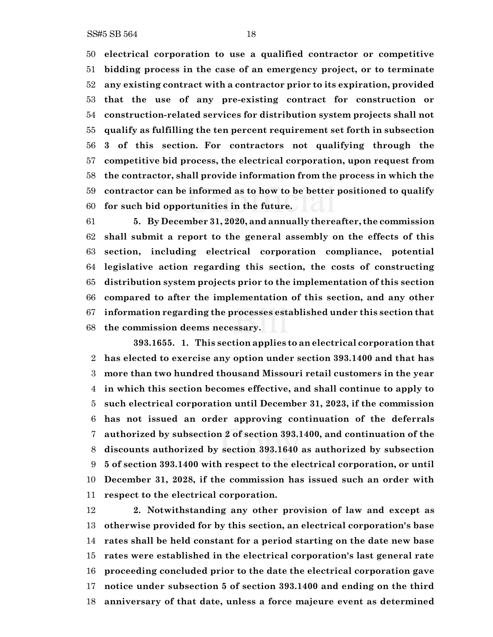**electrical corporation to use a qualified contractor or competitive bidding process in the case of an emergency project, or to terminate any existing contract with a contractor prior to its expiration, provided that the use of any pre-existing contract for construction or construction-related services for distribution system projects shall not qualify as fulfilling the ten percent requirement set forth in subsection 3 of this section. For contractors not qualifying through the competitive bid process, the electrical corporation, upon request from the contractor, shall provide information from the process in which the contractor can be informed as to how to be better positioned to qualify for such bid opportunities in the future.**

 **5. By December 31, 2020, and annually thereafter, the commission shall submit a report to the general assembly on the effects of this section, including electrical corporation compliance, potential legislative action regarding this section, the costs of constructing distribution system projects prior to the implementation of this section compared to after the implementation of this section, and any other information regarding the processes established under this section that the commission deems necessary.**

**393.1655. 1. This section applies to an electrical corporation that has elected to exercise any option under section 393.1400 and that has more than two hundred thousand Missouri retail customers in the year in which this section becomes effective, and shall continue to apply to such electrical corporation until December 31, 2023, if the commission has not issued an order approving continuation of the deferrals authorized by subsection 2 of section 393.1400, and continuation of the discounts authorized by section 393.1640 as authorized by subsection 5 of section 393.1400 with respect to the electrical corporation, or until December 31, 2028, if the commission has issued such an order with respect to the electrical corporation.**

 **2. Notwithstanding any other provision of law and except as otherwise provided for by this section, an electrical corporation's base rates shall be held constant for a period starting on the date new base rates were established in the electrical corporation's last general rate proceeding concluded prior to the date the electrical corporation gave notice under subsection 5 of section 393.1400 and ending on the third anniversary of that date, unless a force majeure event as determined**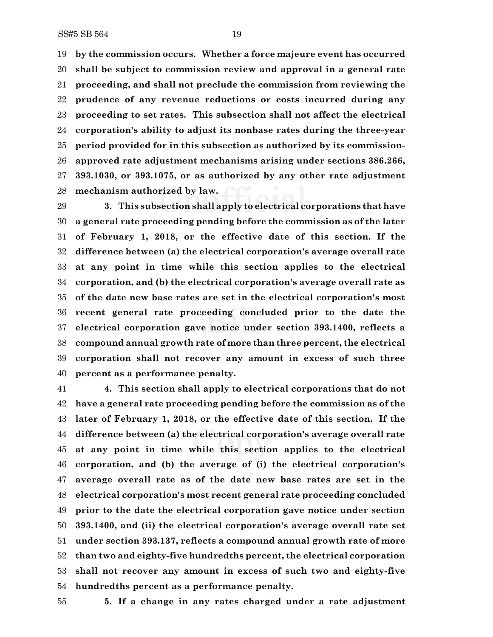**by the commission occurs. Whether a force majeure event has occurred shall be subject to commission review and approval in a general rate proceeding, and shall not preclude the commission from reviewing the prudence of any revenue reductions or costs incurred during any proceeding to set rates. This subsection shall not affect the electrical corporation's ability to adjust its nonbase rates during the three-year period provided for in this subsection as authorized by its commission- approved rate adjustment mechanisms arising under sections 386.266, 393.1030, or 393.1075, or as authorized by any other rate adjustment mechanism authorized by law.**

 **3. This subsection shall apply to electrical corporations that have a general rate proceeding pending before the commission as of the later of February 1, 2018, or the effective date of this section. If the difference between (a) the electrical corporation's average overall rate at any point in time while this section applies to the electrical corporation, and (b) the electrical corporation's average overall rate as of the date new base rates are set in the electrical corporation's most recent general rate proceeding concluded prior to the date the electrical corporation gave notice under section 393.1400, reflects a compound annual growth rate of more than three percent, the electrical corporation shall not recover any amount in excess of such three percent as a performance penalty.**

 **4. This section shall apply to electrical corporations that do not have a general rate proceeding pending before the commission as of the later of February 1, 2018, or the effective date of this section. If the difference between (a) the electrical corporation's average overall rate at any point in time while this section applies to the electrical corporation, and (b) the average of (i) the electrical corporation's average overall rate as of the date new base rates are set in the electrical corporation's most recent general rate proceeding concluded prior to the date the electrical corporation gave notice under section 393.1400, and (ii) the electrical corporation's average overall rate set under section 393.137, reflects a compound annual growth rate of more than two and eighty-five hundredths percent, the electrical corporation shall not recover any amount in excess of such two and eighty-five hundredths percent as a performance penalty.**

**5. If a change in any rates charged under a rate adjustment**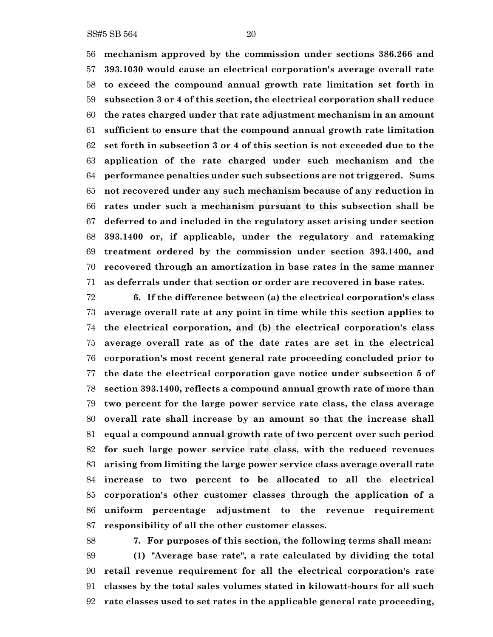**mechanism approved by the commission under sections 386.266 and 393.1030 would cause an electrical corporation's average overall rate to exceed the compound annual growth rate limitation set forth in subsection 3 or 4 of this section, the electrical corporation shall reduce the rates charged under that rate adjustment mechanism in an amount sufficient to ensure that the compound annual growth rate limitation set forth in subsection 3 or 4 of this section is not exceeded due to the application of the rate charged under such mechanism and the performance penalties under such subsections are not triggered. Sums not recovered under any such mechanism because of any reduction in rates under such a mechanism pursuant to this subsection shall be deferred to and included in the regulatory asset arising under section 393.1400 or, if applicable, under the regulatory and ratemaking treatment ordered by the commission under section 393.1400, and recovered through an amortization in base rates in the same manner as deferrals under that section or order are recovered in base rates.**

 **6. If the difference between (a) the electrical corporation's class average overall rate at any point in time while this section applies to the electrical corporation, and (b) the electrical corporation's class average overall rate as of the date rates are set in the electrical corporation's most recent general rate proceeding concluded prior to the date the electrical corporation gave notice under subsection 5 of section 393.1400, reflects a compound annual growth rate of more than two percent for the large power service rate class, the class average overall rate shall increase by an amount so that the increase shall equal a compound annual growth rate of two percent over such period for such large power service rate class, with the reduced revenues arising from limiting the large power service class average overall rate increase to two percent to be allocated to all the electrical corporation's other customer classes through the application of a uniform percentage adjustment to the revenue requirement responsibility of all the other customer classes.**

 **7. For purposes of this section, the following terms shall mean: (1) "Average base rate", a rate calculated by dividing the total retail revenue requirement for all the electrical corporation's rate classes by the total sales volumes stated in kilowatt-hours for all such rate classes used to set rates in the applicable general rate proceeding,**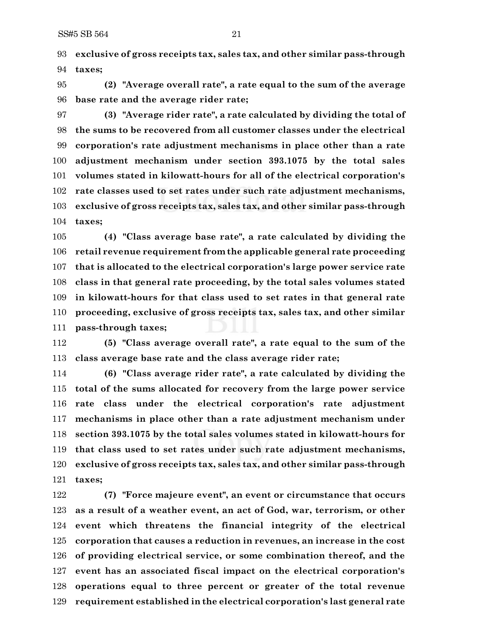**exclusive of gross receipts tax, sales tax, and other similar pass-through taxes;**

 **(2) "Average overall rate", a rate equal to the sum of the average base rate and the average rider rate;**

 **(3) "Average rider rate", a rate calculated by dividing the total of the sums to be recovered from all customer classes under the electrical corporation's rate adjustment mechanisms in place other than a rate adjustment mechanism under section 393.1075 by the total sales volumes stated in kilowatt-hours for all of the electrical corporation's rate classes used to set rates under such rate adjustment mechanisms, exclusive of gross receipts tax, sales tax, and other similar pass-through taxes;**

 **(4) "Class average base rate", a rate calculated by dividing the retail revenue requirement from the applicable general rate proceeding that is allocated to the electrical corporation's large power service rate class in that general rate proceeding, by the total sales volumes stated in kilowatt-hours for that class used to set rates in that general rate proceeding, exclusive of gross receipts tax, sales tax, and other similar pass-through taxes;**

 **(5) "Class average overall rate", a rate equal to the sum of the class average base rate and the class average rider rate;**

 **(6) "Class average rider rate", a rate calculated by dividing the total of the sums allocated for recovery from the large power service rate class under the electrical corporation's rate adjustment mechanisms in place other than a rate adjustment mechanism under section 393.1075 by the total sales volumes stated in kilowatt-hours for that class used to set rates under such rate adjustment mechanisms, exclusive of gross receipts tax, sales tax, and other similar pass-through taxes;**

 **(7) "Force majeure event", an event or circumstance that occurs as a result of a weather event, an act of God, war, terrorism, or other event which threatens the financial integrity of the electrical corporation that causes a reduction in revenues, an increase in the cost of providing electrical service, or some combination thereof, and the event has an associated fiscal impact on the electrical corporation's operations equal to three percent or greater of the total revenue requirement established in the electrical corporation's last general rate**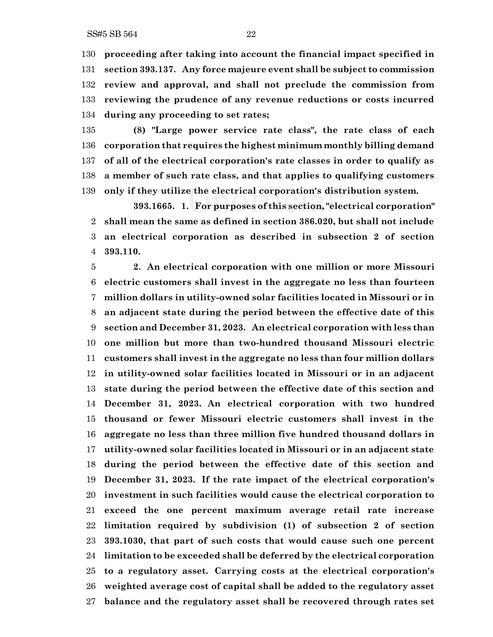**proceeding after taking into account the financial impact specified in section 393.137. Any force majeure event shall be subject to commission review and approval, and shall not preclude the commission from reviewing the prudence of any revenue reductions or costs incurred during any proceeding to set rates;**

 **(8) "Large power service rate class", the rate class of each corporation that requires the highest minimum monthly billing demand of all of the electrical corporation's rate classes in order to qualify as a member of such rate class, and that applies to qualifying customers only if they utilize the electrical corporation's distribution system.**

**393.1665. 1. For purposes of this section, "electrical corporation" shall mean the same as defined in section 386.020, but shall not include an electrical corporation as described in subsection 2 of section 393.110.**

 **2. An electrical corporation with one million or more Missouri electric customers shall invest in the aggregate no less than fourteen million dollars in utility-owned solar facilities located in Missouri or in an adjacent state during the period between the effective date of this section and December 31, 2023. An electrical corporation with less than one million but more than two-hundred thousand Missouri electric customers shall invest in the aggregate no less than four million dollars in utility-owned solar facilities located in Missouri or in an adjacent state during the period between the effective date of this section and December 31, 2023. An electrical corporation with two hundred thousand or fewer Missouri electric customers shall invest in the aggregate no less than three million five hundred thousand dollars in utility-owned solar facilities located in Missouri or in an adjacent state during the period between the effective date of this section and December 31, 2023. If the rate impact of the electrical corporation's investment in such facilities would cause the electrical corporation to exceed the one percent maximum average retail rate increase limitation required by subdivision (1) of subsection 2 of section 393.1030, that part of such costs that would cause such one percent limitation to be exceeded shall be deferred by the electrical corporation to a regulatory asset. Carrying costs at the electrical corporation's weighted average cost of capital shall be added to the regulatory asset balance and the regulatory asset shall be recovered through rates set**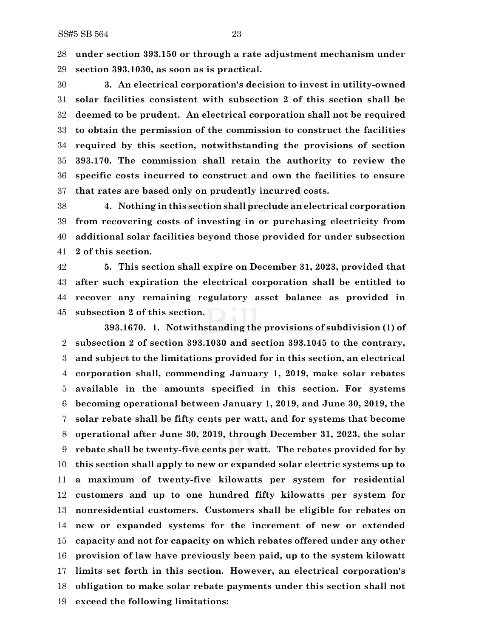**under section 393.150 or through a rate adjustment mechanism under section 393.1030, as soon as is practical.**

 **3. An electrical corporation's decision to invest in utility-owned solar facilities consistent with subsection 2 of this section shall be deemed to be prudent. An electrical corporation shall not be required to obtain the permission of the commission to construct the facilities required by this section, notwithstanding the provisions of section 393.170. The commission shall retain the authority to review the specific costs incurred to construct and own the facilities to ensure that rates are based only on prudently incurred costs.**

 **4. Nothing in this section shall preclude an electrical corporation from recovering costs of investing in or purchasing electricity from additional solar facilities beyond those provided for under subsection 2 of this section.**

 **5. This section shall expire on December 31, 2023, provided that after such expiration the electrical corporation shall be entitled to recover any remaining regulatory asset balance as provided in subsection 2 of this section.**

**393.1670. 1. Notwithstanding the provisions of subdivision (1) of subsection 2 of section 393.1030 and section 393.1045 to the contrary, and subject to the limitations provided for in this section, an electrical corporation shall, commending January 1, 2019, make solar rebates available in the amounts specified in this section. For systems becoming operational between January 1, 2019, and June 30, 2019, the solar rebate shall be fifty cents per watt, and for systems that become operational after June 30, 2019, through December 31, 2023, the solar rebate shall be twenty-five cents per watt. The rebates provided for by this section shall apply to new or expanded solar electric systems up to a maximum of twenty-five kilowatts per system for residential customers and up to one hundred fifty kilowatts per system for nonresidential customers. Customers shall be eligible for rebates on new or expanded systems for the increment of new or extended capacity and not for capacity on which rebates offered under any other provision of law have previously been paid, up to the system kilowatt limits set forth in this section. However, an electrical corporation's obligation to make solar rebate payments under this section shall not exceed the following limitations:**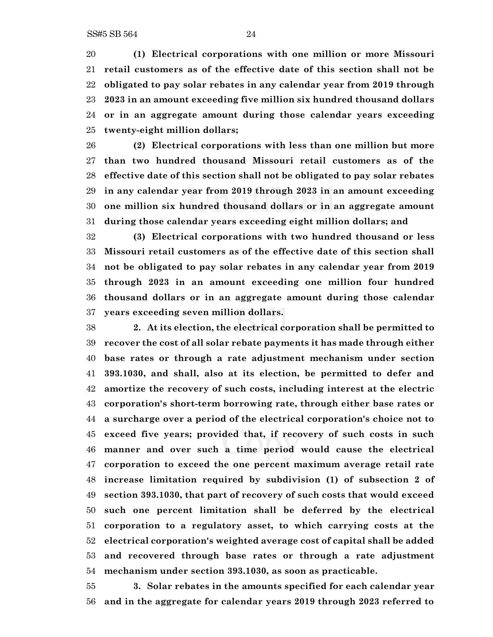**(1) Electrical corporations with one million or more Missouri retail customers as of the effective date of this section shall not be obligated to pay solar rebates in any calendar year from 2019 through 2023 in an amount exceeding five million six hundred thousand dollars or in an aggregate amount during those calendar years exceeding twenty-eight million dollars;**

 **(2) Electrical corporations with less than one million but more than two hundred thousand Missouri retail customers as of the effective date of this section shall not be obligated to pay solar rebates in any calendar year from 2019 through 2023 in an amount exceeding one million six hundred thousand dollars or in an aggregate amount during those calendar years exceeding eight million dollars; and**

 **(3) Electrical corporations with two hundred thousand or less Missouri retail customers as of the effective date of this section shall not be obligated to pay solar rebates in any calendar year from 2019 through 2023 in an amount exceeding one million four hundred thousand dollars or in an aggregate amount during those calendar years exceeding seven million dollars.**

 **2. At its election, the electrical corporation shall be permitted to recover the cost of all solar rebate payments it has made through either base rates or through a rate adjustment mechanism under section 393.1030, and shall, also at its election, be permitted to defer and amortize the recovery of such costs, including interest at the electric corporation's short-term borrowing rate, through either base rates or a surcharge over a period of the electrical corporation's choice not to exceed five years; provided that, if recovery of such costs in such manner and over such a time period would cause the electrical corporation to exceed the one percent maximum average retail rate increase limitation required by subdivision (1) of subsection 2 of section 393.1030, that part of recovery of such costs that would exceed such one percent limitation shall be deferred by the electrical corporation to a regulatory asset, to which carrying costs at the electrical corporation's weighted average cost of capital shall be added and recovered through base rates or through a rate adjustment mechanism under section 393.1030, as soon as practicable.**

 **3. Solar rebates in the amounts specified for each calendar year and in the aggregate for calendar years 2019 through 2023 referred to**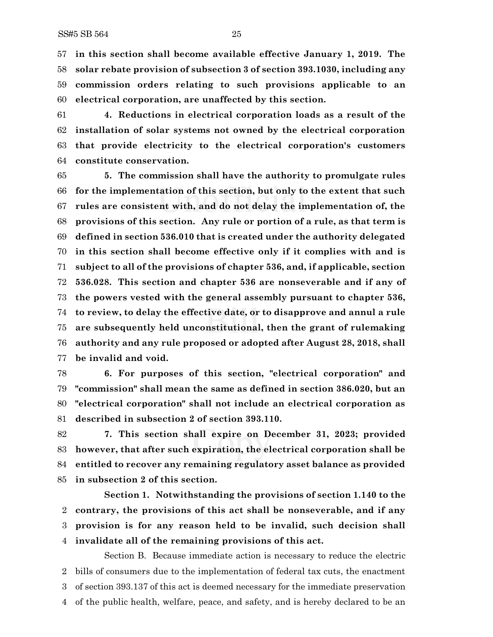**in this section shall become available effective January 1, 2019. The solar rebate provision of subsection 3 of section 393.1030, including any commission orders relating to such provisions applicable to an electrical corporation, are unaffected by this section.**

 **4. Reductions in electrical corporation loads as a result of the installation of solar systems not owned by the electrical corporation that provide electricity to the electrical corporation's customers constitute conservation.**

 **5. The commission shall have the authority to promulgate rules for the implementation of this section, but only to the extent that such rules are consistent with, and do not delay the implementation of, the provisions of this section. Any rule or portion of a rule, as that term is defined in section 536.010 that is created under the authority delegated in this section shall become effective only if it complies with and is subject to all of the provisions of chapter 536, and, if applicable, section 536.028. This section and chapter 536 are nonseverable and if any of the powers vested with the general assembly pursuant to chapter 536, to review, to delay the effective date, or to disapprove and annul a rule are subsequently held unconstitutional, then the grant of rulemaking authority and any rule proposed or adopted after August 28, 2018, shall be invalid and void.**

 **6. For purposes of this section, "electrical corporation" and "commission" shall mean the same as defined in section 386.020, but an "electrical corporation" shall not include an electrical corporation as described in subsection 2 of section 393.110.**

 **7. This section shall expire on December 31, 2023; provided however, that after such expiration, the electrical corporation shall be entitled to recover any remaining regulatory asset balance as provided in subsection 2 of this section.**

**Section 1. Notwithstanding the provisions of section 1.140 to the contrary, the provisions of this act shall be nonseverable, and if any provision is for any reason held to be invalid, such decision shall invalidate all of the remaining provisions of this act.**

Section B. Because immediate action is necessary to reduce the electric bills of consumers due to the implementation of federal tax cuts, the enactment of section 393.137 of this act is deemed necessary for the immediate preservation of the public health, welfare, peace, and safety, and is hereby declared to be an